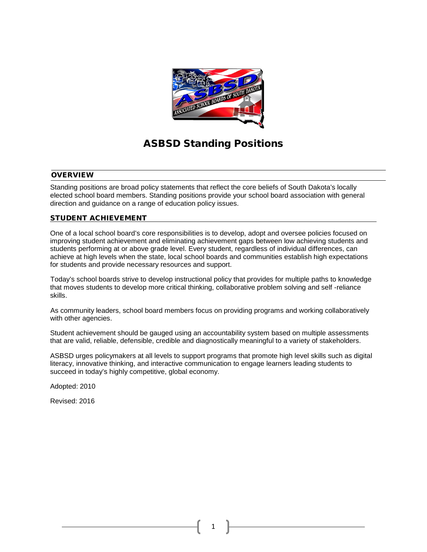

# ASBSD Standing Positions

## **OVERVIEW**

Standing positions are broad policy statements that reflect the core beliefs of South Dakota's locally elected school board members. Standing positions provide your school board association with general direction and guidance on a range of education policy issues.

# STUDENT ACHIEVEMENT

One of a local school board's core responsibilities is to develop, adopt and oversee policies focused on improving student achievement and eliminating achievement gaps between low achieving students and students performing at or above grade level. Every student, regardless of individual differences, can achieve at high levels when the state, local school boards and communities establish high expectations for students and provide necessary resources and support.

Today's school boards strive to develop instructional policy that provides for multiple paths to knowledge that moves students to develop more critical thinking, collaborative problem solving and self -reliance skills.

As community leaders, school board members focus on providing programs and working collaboratively with other agencies.

Student achievement should be gauged using an accountability system based on multiple assessments that are valid, reliable, defensible, credible and diagnostically meaningful to a variety of stakeholders.

ASBSD urges policymakers at all levels to support programs that promote high level skills such as digital literacy, innovative thinking, and interactive communication to engage learners leading students to succeed in today's highly competitive, global economy.

Adopted: 2010

Revised: 2016

1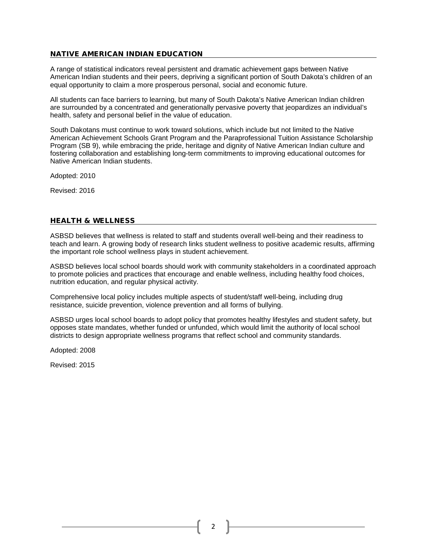# NATIVE AMERICAN INDIAN EDUCATION

A range of statistical indicators reveal persistent and dramatic achievement gaps between Native American Indian students and their peers, depriving a significant portion of South Dakota's children of an equal opportunity to claim a more prosperous personal, social and economic future.

All students can face barriers to learning, but many of South Dakota's Native American Indian children are surrounded by a concentrated and generationally pervasive poverty that jeopardizes an individual's health, safety and personal belief in the value of education.

South Dakotans must continue to work toward solutions, which include but not limited to the Native American Achievement Schools Grant Program and the Paraprofessional Tuition Assistance Scholarship Program (SB 9), while embracing the pride, heritage and dignity of Native American Indian culture and fostering collaboration and establishing long-term commitments to improving educational outcomes for Native American Indian students.

Adopted: 2010

Revised: 2016

# HEALTH & WELLNESS

ASBSD believes that wellness is related to staff and students overall well-being and their readiness to teach and learn. A growing body of research links student wellness to positive academic results, affirming the important role school wellness plays in student achievement.

ASBSD believes local school boards should work with community stakeholders in a coordinated approach to promote policies and practices that encourage and enable wellness, including healthy food choices, nutrition education, and regular physical activity.

Comprehensive local policy includes multiple aspects of student/staff well-being, including drug resistance, suicide prevention, violence prevention and all forms of bullying.

ASBSD urges local school boards to adopt policy that promotes healthy lifestyles and student safety, but opposes state mandates, whether funded or unfunded, which would limit the authority of local school districts to design appropriate wellness programs that reflect school and community standards.

Adopted: 2008

Revised: 2015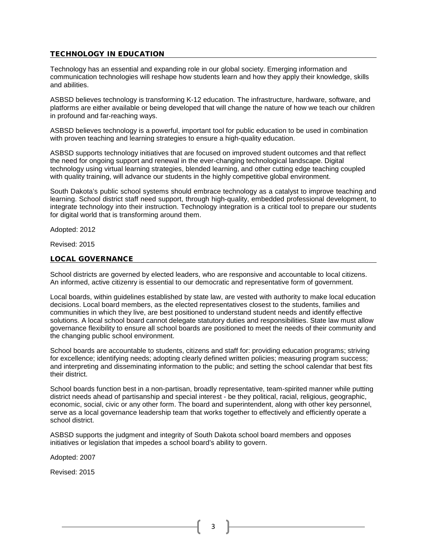# TECHNOLOGY IN EDUCATION

Technology has an essential and expanding role in our global society. Emerging information and communication technologies will reshape how students learn and how they apply their knowledge, skills and abilities.

ASBSD believes technology is transforming K-12 education. The infrastructure, hardware, software, and platforms are either available or being developed that will change the nature of how we teach our children in profound and far-reaching ways.

ASBSD believes technology is a powerful, important tool for public education to be used in combination with proven teaching and learning strategies to ensure a high-quality education.

ASBSD supports technology initiatives that are focused on improved student outcomes and that reflect the need for ongoing support and renewal in the ever-changing technological landscape. Digital technology using virtual learning strategies, blended learning, and other cutting edge teaching coupled with quality training, will advance our students in the highly competitive global environment.

South Dakota's public school systems should embrace technology as a catalyst to improve teaching and learning. School district staff need support, through high-quality, embedded professional development, to integrate technology into their instruction. Technology integration is a critical tool to prepare our students for digital world that is transforming around them.

Adopted: 2012

Revised: 2015

#### LOCAL GOVERNANCE

School districts are governed by elected leaders, who are responsive and accountable to local citizens. An informed, active citizenry is essential to our democratic and representative form of government.

Local boards, within guidelines established by state law, are vested with authority to make local education decisions. Local board members, as the elected representatives closest to the students, families and communities in which they live, are best positioned to understand student needs and identify effective solutions. A local school board cannot delegate statutory duties and responsibilities. State law must allow governance flexibility to ensure all school boards are positioned to meet the needs of their community and the changing public school environment.

School boards are accountable to students, citizens and staff for: providing education programs; striving for excellence; identifying needs; adopting clearly defined written policies; measuring program success; and interpreting and disseminating information to the public; and setting the school calendar that best fits their district.

School boards function best in a non-partisan, broadly representative, team-spirited manner while putting district needs ahead of partisanship and special interest - be they political, racial, religious, geographic, economic, social, civic or any other form. The board and superintendent, along with other key personnel, serve as a local governance leadership team that works together to effectively and efficiently operate a school district.

ASBSD supports the judgment and integrity of South Dakota school board members and opposes initiatives or legislation that impedes a school board's ability to govern.

Adopted: 2007

Revised: 2015

3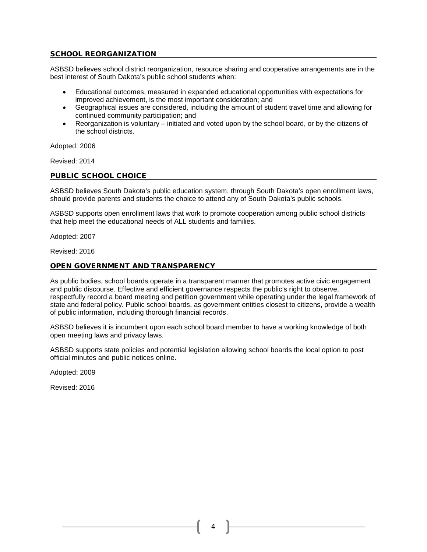# SCHOOL REORGANIZATION

ASBSD believes school district reorganization, resource sharing and cooperative arrangements are in the best interest of South Dakota's public school students when:

- Educational outcomes, measured in expanded educational opportunities with expectations for improved achievement, is the most important consideration; and
- Geographical issues are considered, including the amount of student travel time and allowing for continued community participation; and
- Reorganization is voluntary initiated and voted upon by the school board, or by the citizens of the school districts.

Adopted: 2006

Revised: 2014

#### PUBLIC SCHOOL CHOICE

ASBSD believes South Dakota's public education system, through South Dakota's open enrollment laws, should provide parents and students the choice to attend any of South Dakota's public schools.

ASBSD supports open enrollment laws that work to promote cooperation among public school districts that help meet the educational needs of ALL students and families.

Adopted: 2007

Revised: 2016

# OPEN GOVERNMENT AND TRANSPARENCY

As public bodies, school boards operate in a transparent manner that promotes active civic engagement and public discourse. Effective and efficient governance respects the public's right to observe, respectfully record a board meeting and petition government while operating under the legal framework of state and federal policy. Public school boards, as government entities closest to citizens, provide a wealth of public information, including thorough financial records.

ASBSD believes it is incumbent upon each school board member to have a working knowledge of both open meeting laws and privacy laws.

ASBSD supports state policies and potential legislation allowing school boards the local option to post official minutes and public notices online.

Adopted: 2009

Revised: 2016

4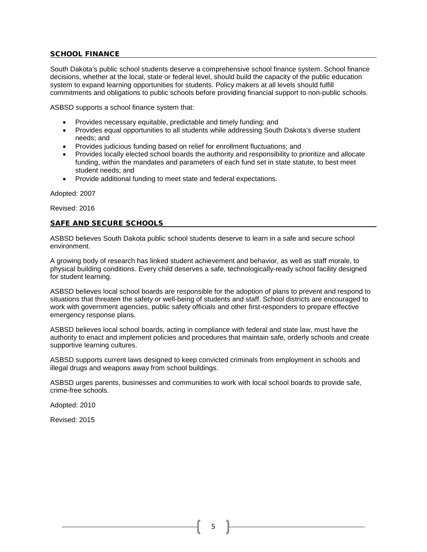# SCHOOL FINANCE

South Dakota's public school students deserve a comprehensive school finance system. School finance decisions, whether at the local, state or federal level, should build the capacity of the public education system to expand learning opportunities for students. Policy makers at all levels should fulfill commitments and obligations to public schools before providing financial support to non-public schools.

ASBSD supports a school finance system that:

- Provides necessary equitable, predictable and timely funding; and
- Provides equal opportunities to all students while addressing South Dakota's diverse student needs; and
- Provides judicious funding based on relief for enrollment fluctuations; and
- Provides locally elected school boards the authority and responsibility to prioritize and allocate funding, within the mandates and parameters of each fund set in state statute, to best meet student needs; and
- Provide additional funding to meet state and federal expectations.

Adopted: 2007

Revised: 2016

# SAFE AND SECURE SCHOOLS

ASBSD believes South Dakota public school students deserve to learn in a safe and secure school environment.

A growing body of research has linked student achievement and behavior, as well as staff morale, to physical building conditions. Every child deserves a safe, technologically-ready school facility designed for student learning.

ASBSD believes local school boards are responsible for the adoption of plans to prevent and respond to situations that threaten the safety or well-being of students and staff. School districts are encouraged to work with government agencies, public safety officials and other first-responders to prepare effective emergency response plans.

ASBSD believes local school boards, acting in compliance with federal and state law, must have the authority to enact and implement policies and procedures that maintain safe, orderly schools and create supportive learning cultures.

ASBSD supports current laws designed to keep convicted criminals from employment in schools and illegal drugs and weapons away from school buildings.

ASBSD urges parents, businesses and communities to work with local school boards to provide safe, crime-free schools.

Adopted: 2010

Revised: 2015